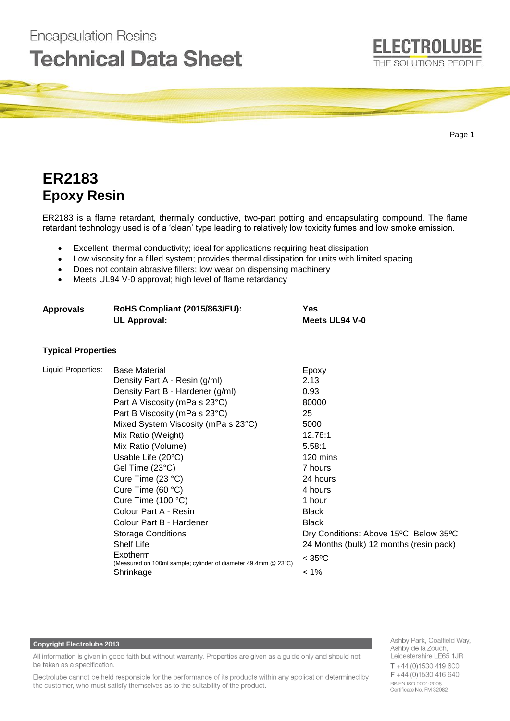

# **ER2183 Epoxy Resin**

**Encapsulation Resins** 

ER2183 is a flame retardant, thermally conductive, two-part potting and encapsulating compound. The flame retardant technology used is of a 'clean' type leading to relatively low toxicity fumes and low smoke emission.

- Excellent thermal conductivity; ideal for applications requiring heat dissipation
- Low viscosity for a filled system; provides thermal dissipation for units with limited spacing
- Does not contain abrasive fillers; low wear on dispensing machinery
- Meets UL94 V-0 approval; high level of flame retardancy

| <b>Approvals</b>          | RoHS Compliant (2015/863/EU):<br><b>UL Approval:</b>                                                                                                                                                                                                                                                                                                                                                                                                                                                                                                      | <b>Yes</b><br>Meets UL94 V-0                                                                                                                                                                                                                                                       |
|---------------------------|-----------------------------------------------------------------------------------------------------------------------------------------------------------------------------------------------------------------------------------------------------------------------------------------------------------------------------------------------------------------------------------------------------------------------------------------------------------------------------------------------------------------------------------------------------------|------------------------------------------------------------------------------------------------------------------------------------------------------------------------------------------------------------------------------------------------------------------------------------|
| <b>Typical Properties</b> |                                                                                                                                                                                                                                                                                                                                                                                                                                                                                                                                                           |                                                                                                                                                                                                                                                                                    |
| Liquid Properties:        | <b>Base Material</b><br>Density Part A - Resin (g/ml)<br>Density Part B - Hardener (g/ml)<br>Part A Viscosity (mPa s 23°C)<br>Part B Viscosity (mPa s 23°C)<br>Mixed System Viscosity (mPa s 23°C)<br>Mix Ratio (Weight)<br>Mix Ratio (Volume)<br>Usable Life (20°C)<br>Gel Time (23°C)<br>Cure Time (23 °C)<br>Cure Time (60 °C)<br>Cure Time (100 °C)<br>Colour Part A - Resin<br>Colour Part B - Hardener<br><b>Storage Conditions</b><br><b>Shelf Life</b><br>Exotherm<br>(Measured on 100ml sample; cylinder of diameter 49.4mm @ 23°C)<br>Shrinkage | Epoxy<br>2.13<br>0.93<br>80000<br>25<br>5000<br>12.78:1<br>5.58:1<br>120 mins<br>7 hours<br>24 hours<br>4 hours<br>1 hour<br><b>Black</b><br><b>Black</b><br>Dry Conditions: Above 15°C, Below 35°C<br>24 Months (bulk) 12 months (resin pack)<br>$<$ 35 <sup>o</sup> C<br>$< 1\%$ |

#### **Copyright Electrolube 2013**

All information is given in good faith but without warranty. Properties are given as a guide only and should not be taken as a specification.

Electrolube cannot be held responsible for the performance of its products within any application determined by the customer, who must satisfy themselves as to the suitability of the product.

Ashby Park, Coalfield Way, Ashby de la Zouch, Leicestershire LE65 1JR  $T + 44(0)1530419600$  $F + 44(0)1530416640$ **BS EN ISO 9001:2008** Certificate No. FM 32082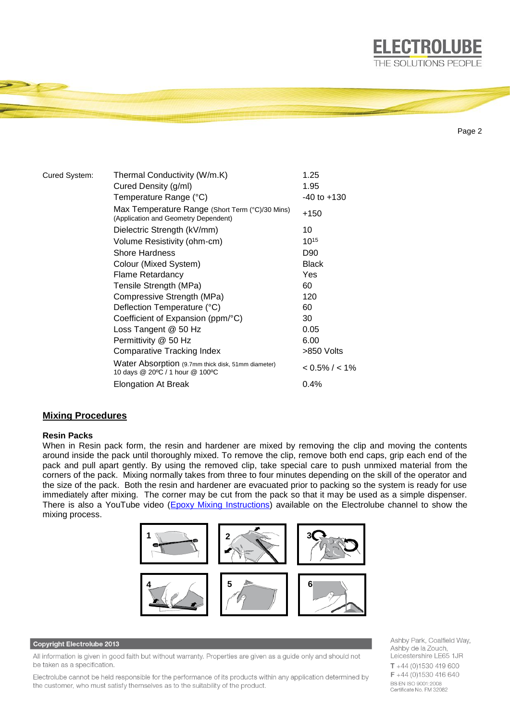

Page 2

**ELECTROLUBE** 

| Cured System: | Thermal Conductivity (W/m.K)                                                            | 1.25              |
|---------------|-----------------------------------------------------------------------------------------|-------------------|
|               | Cured Density (g/ml)                                                                    | 1.95              |
|               | Temperature Range (°C)                                                                  | $-40$ to $+130$   |
|               | Max Temperature Range (Short Term (°C)/30 Mins)<br>(Application and Geometry Dependent) | +150              |
|               | Dielectric Strength (kV/mm)                                                             | 10                |
|               | Volume Resistivity (ohm-cm)                                                             | $10^{15}$         |
|               | <b>Shore Hardness</b>                                                                   | D90               |
|               | Colour (Mixed System)                                                                   | <b>Black</b>      |
|               | Flame Retardancy                                                                        | Yes               |
|               | Tensile Strength (MPa)                                                                  | 60                |
|               | Compressive Strength (MPa)                                                              | 120               |
|               | Deflection Temperature (°C)                                                             | 60                |
|               | Coefficient of Expansion (ppm/°C)                                                       | 30                |
|               | Loss Tangent @ 50 Hz                                                                    | 0.05              |
|               | Permittivity @ 50 Hz                                                                    | 6.00              |
|               | <b>Comparative Tracking Index</b>                                                       | >850 Volts        |
|               | Water Absorption (9.7mm thick disk, 51mm diameter)<br>10 days @ 20°C / 1 hour @ 100°C   | $< 0.5\% / < 1\%$ |
|               | Elongation At Break                                                                     | $0.4\%$           |

# **Mixing Procedures**

# **Resin Packs**

When in Resin pack form, the resin and hardener are mixed by removing the clip and moving the contents around inside the pack until thoroughly mixed. To remove the clip, remove both end caps, grip each end of the pack and pull apart gently. By using the removed clip, take special care to push unmixed material from the corners of the pack. Mixing normally takes from three to four minutes depending on the skill of the operator and the size of the pack. Both the resin and hardener are evacuated prior to packing so the system is ready for use immediately after mixing. The corner may be cut from the pack so that it may be used as a simple dispenser. There is also a YouTube video [\(Epoxy Mixing Instructions\)](https://www.youtube.com/watch?v=EEoWffhmjQw) available on the Electrolube channel to show the mixing process.



## **Copyright Electrolube 2013**

All information is given in good faith but without warranty. Properties are given as a guide only and should not be taken as a specification.

Electrolube cannot be held responsible for the performance of its products within any application determined by the customer, who must satisfy themselves as to the suitability of the product.

Ashby Park, Coalfield Way, Ashby de la Zouch, Leicestershire LE65 1JR  $T + 44$  (0)1530 419 600  $F + 44(0)1530416640$ BS EN ISO 9001:2008 Certificate No. FM 32082